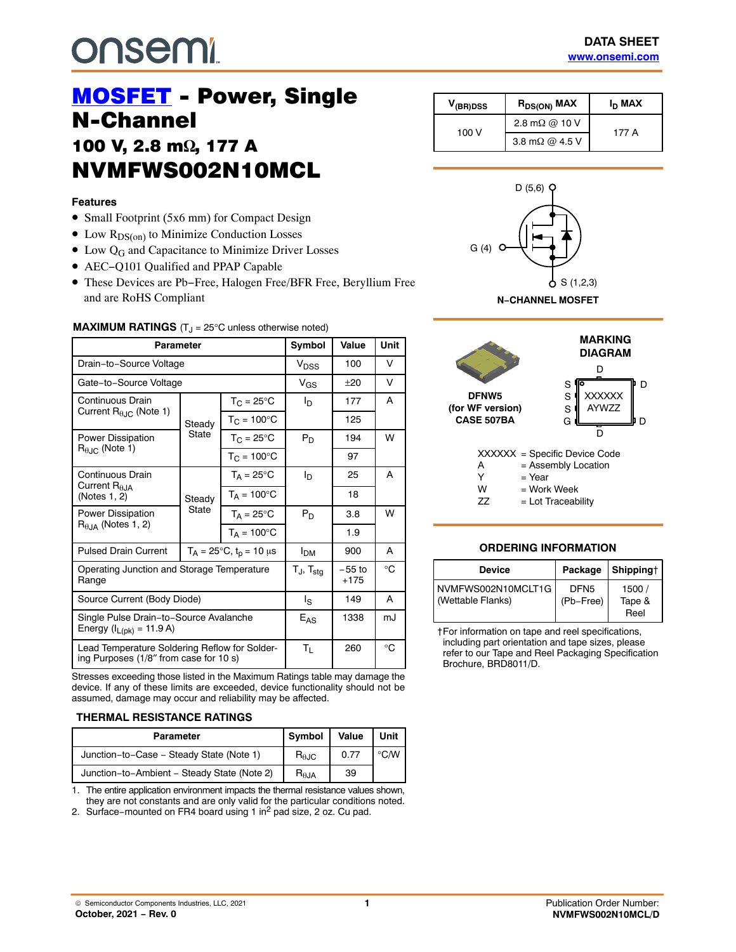# **onsem!**

# **MOSFET** - Power, Single<br>N-Channel 100 V, 2.8 m<sup>o</sup> NVMFWS002N10MCL NVMFWS002N10MCL10MC

#### **Features**

- Small Footprint (5x6 mm) for Compact Design
- $\bullet$  Low  $R_{DS(on)}$  to Minimize Conduction Losses
- $\bullet$  Low Q<sub>G</sub> and Capacitance to Minimize Driver Losses
- AEC−Q101 Qualified and PPAP Capable
- These Devices are Pb−Free, Halogen Free/BFR Free, Beryllium Free and are RoHS Compliant

#### **MAXIMUM RATINGS** (T<sub>J</sub> = 25°C unless otherwise noted)

| Parameter                                                                               |                                        |                            | Symbol                            | Value              | Unit         |
|-----------------------------------------------------------------------------------------|----------------------------------------|----------------------------|-----------------------------------|--------------------|--------------|
| Drain-to-Source Voltage                                                                 |                                        |                            | V <sub>DSS</sub>                  | 100                | v            |
| Gate-to-Source Voltage                                                                  |                                        |                            | $V_{GS}$                          | $+20$              | v            |
| Continuous Drain                                                                        |                                        | $T_{C} = 25^{\circ}$ C     | I <sub>D</sub>                    | 177                | A            |
| Current $R_{\theta\text{JC}}$ (Note 1)                                                  | Steady                                 | $T_{C}$ = 100 $^{\circ}$ C |                                   | 125                |              |
| Power Dissipation                                                                       | State                                  | $T_{\rm C}$ = 25°C         | $P_D$                             | 194                | W            |
| $R_{0,IC}$ (Note 1)                                                                     |                                        | $T_{C}$ = 100 $^{\circ}$ C |                                   | 97                 |              |
| Continuous Drain                                                                        | Steady<br>State                        | $T_A = 25^{\circ}C$        | l <sub>D</sub>                    | 25                 | A            |
| Current $R_{A,IA}$<br>(Notes 1, 2)                                                      |                                        | $T_A = 100^{\circ}C$       |                                   | 18                 |              |
| Power Dissipation                                                                       |                                        | $T_A = 25^{\circ}C$        | $P_D$                             | 3.8                | W            |
| $R0.1A$ (Notes 1, 2)                                                                    |                                        | $T_A = 100^{\circ}$ C      |                                   | 1.9                |              |
| <b>Pulsed Drain Current</b>                                                             | $T_A = 25^{\circ}C$ , $t_p = 10 \mu s$ |                            | <b>I<sub>DM</sub></b>             | 900                | A            |
| Operating Junction and Storage Temperature<br>Range                                     |                                        |                            | $T_{\text{J}}$ , $T_{\text{sta}}$ | $-55$ to<br>$+175$ | °C           |
| Source Current (Body Diode)                                                             |                                        |                            | ls                                | 149                | A            |
| Single Pulse Drain-to-Source Avalanche<br>Energy ( $I_{L(pk)} = 11.9 A$ )               |                                        |                            | $E_{AS}$                          | 1338               | m.I          |
| Lead Temperature Soldering Reflow for Solder-<br>ing Purposes (1/8" from case for 10 s) |                                        |                            | Τı                                | 260                | $^{\circ}$ C |

Stresses exceeding those listed in the Maximum Ratings table may damage the device. If any of these limits are exceeded, device functionality should not be assumed, damage may occur and reliability may be affected.

#### **THERMAL RESISTANCE RATINGS**

| <b>Parameter</b>                            | <b>Symbol</b>          | Value | Unit           |
|---------------------------------------------|------------------------|-------|----------------|
| Junction-to-Case - Steady State (Note 1)    | $R_{\theta \text{JC}}$ | 0.77  | $^{\circ}$ C/W |
| Junction-to-Ambient - Steady State (Note 2) | $R_{\theta$ JA         | 39    |                |

1. The entire application environment impacts the thermal resistance values shown, they are not constants and are only valid for the particular conditions noted.

2. Surface−mounted on FR4 board using 1 in2 pad size, 2 oz. Cu pad.

| V <sub>(BR)DSS</sub> | $R_{DS(ON)}$ MAX       | $I_D$ MAX |
|----------------------|------------------------|-----------|
| 100 V                | 2.8 m $\Omega$ @ 10 V  | 177 A     |
|                      | 3.8 m $\Omega$ @ 4.5 V |           |





#### **ORDERING INFORMATION**

| <b>Device</b>                           | Package                       | Shipping†               |
|-----------------------------------------|-------------------------------|-------------------------|
| NVMFWS002N10MCLT1G<br>(Wettable Flanks) | DFN <sub>5</sub><br>(Pb-Free) | 1500/<br>Tape &<br>Reel |

†For information on tape and reel specifications, including part orientation and tape sizes, please refer to our Tape and Reel Packaging Specification Brochure, BRD8011/D.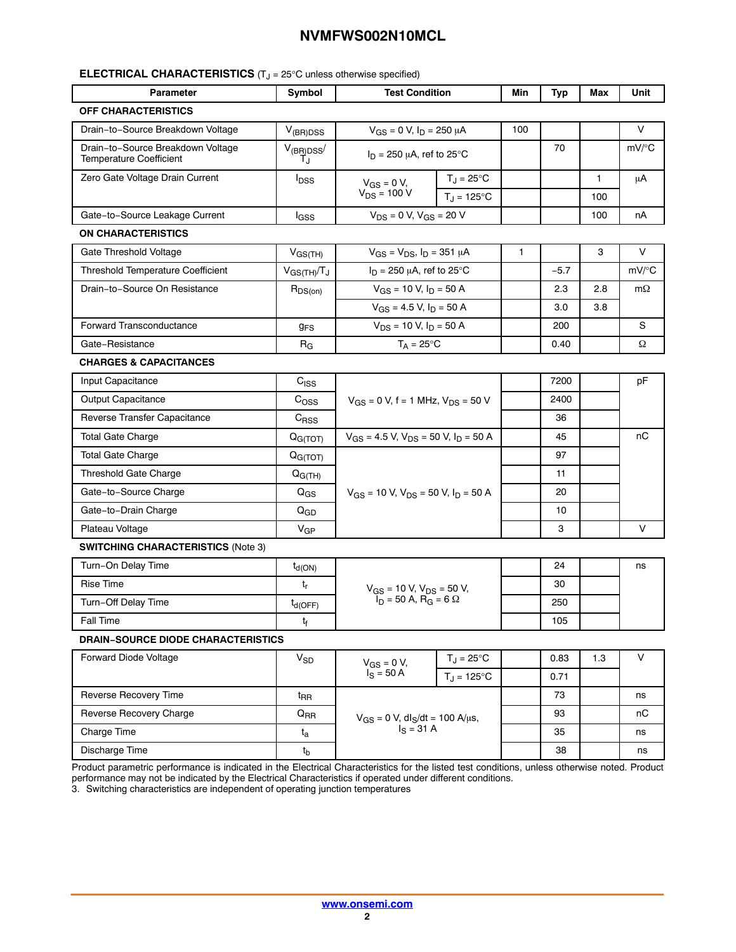#### **ELECTRICAL CHARACTERISTICS** (T<sub>J</sub> = 25°C unless otherwise specified)

|                                                                     |                       | <b>Test Condition</b>                                                          |                     | Min          | <b>Typ</b> | Max          | Unit      |
|---------------------------------------------------------------------|-----------------------|--------------------------------------------------------------------------------|---------------------|--------------|------------|--------------|-----------|
| <b>OFF CHARACTERISTICS</b>                                          |                       |                                                                                |                     |              |            |              |           |
| Drain-to-Source Breakdown Voltage                                   | $V_{(BR)DSS}$         | $V_{GS} = 0 V$ , $I_D = 250 \mu A$                                             |                     | 100          |            |              | V         |
| Drain-to-Source Breakdown Voltage<br><b>Temperature Coefficient</b> | $V_{(BR)DSS}$<br>T.ı  | $I_D$ = 250 $\mu$ A, ref to 25°C                                               |                     |              | 70         |              | mV/°C     |
| Zero Gate Voltage Drain Current                                     | $I_{\text{DSS}}$      | $V_{GS} = 0 V$ ,                                                               | $T_J = 25^{\circ}C$ |              |            | $\mathbf{1}$ | μA        |
|                                                                     |                       | $V_{DS}$ = 100 V                                                               | $T_J = 125$ °C      |              |            | 100          |           |
| Gate-to-Source Leakage Current                                      | lgss                  | $V_{DS} = 0 V$ , $V_{GS} = 20 V$                                               |                     |              |            | 100          | nA        |
| ON CHARACTERISTICS                                                  |                       |                                                                                |                     |              |            |              |           |
| Gate Threshold Voltage                                              | $V_{GS(TH)}$          | $V_{GS} = V_{DS}$ , $I_D = 351 \mu A$                                          |                     | $\mathbf{1}$ |            | 3            | V         |
| Threshold Temperature Coefficient                                   | $V_{GS(TH)}/T_J$      | $I_D$ = 250 µA, ref to 25°C                                                    |                     |              | $-5.7$     |              | mV/°C     |
| Drain-to-Source On Resistance                                       | $R_{DS(on)}$          | $V_{GS}$ = 10 V, $I_D$ = 50 A<br>$V_{GS}$ = 4.5 V, $I_D$ = 50 A                |                     |              | 2.3        | 2.8          | $m\Omega$ |
|                                                                     |                       |                                                                                |                     |              | 3.0        | 3.8          |           |
| Forward Transconductance                                            | <b>g<sub>FS</sub></b> | $V_{DS}$ = 10 V, $I_D$ = 50 A                                                  |                     |              | 200        |              | S         |
| Gate-Resistance                                                     | $R_G$                 | $T_A = 25^{\circ}C$                                                            |                     |              | 0.40       |              | Ω         |
| <b>CHARGES &amp; CAPACITANCES</b>                                   |                       |                                                                                |                     |              |            |              |           |
| Input Capacitance                                                   | C <sub>ISS</sub>      | $V_{GS}$ = 0 V, f = 1 MHz, $V_{DS}$ = 50 V                                     |                     |              | 7200       |              | pF        |
| Output Capacitance                                                  | C <sub>OSS</sub>      |                                                                                |                     |              | 2400       |              |           |
| Reverse Transfer Capacitance                                        | $C_{RSS}$             |                                                                                |                     |              | 36         |              |           |
| <b>Total Gate Charge</b>                                            | Q <sub>G(TOT)</sub>   | $V_{GS}$ = 4.5 V, $V_{DS}$ = 50 V, $I_D$ = 50 A                                |                     |              | 45         |              | пC        |
| <b>Total Gate Charge</b>                                            | Q <sub>G(TOT)</sub>   | $V_{GS}$ = 10 V, $V_{DS}$ = 50 V, $I_D$ = 50 A                                 |                     |              | 97         |              |           |
| <b>Threshold Gate Charge</b>                                        | $Q_{G(TH)}$           |                                                                                |                     |              | 11         |              |           |
| Gate-to-Source Charge                                               | $Q_{GS}$              |                                                                                |                     |              | 20         |              |           |
| Gate-to-Drain Charge                                                | $Q_{GD}$              |                                                                                |                     |              | 10         |              |           |
| Plateau Voltage                                                     | $V_{GP}$              |                                                                                |                     |              | 3          |              | V         |
| <b>SWITCHING CHARACTERISTICS (Note 3)</b>                           |                       |                                                                                |                     |              |            |              |           |
| Turn-On Delay Time                                                  | $t_{d(ON)}$           | $V_{GS}$ = 10 V, $V_{DS}$ = 50 V,<br>$I_D$ = 50 A, R <sub>G</sub> = 6 $\Omega$ |                     |              | 24         |              | ns        |
| <b>Rise Time</b>                                                    | $t_{r}$               |                                                                                |                     |              | 30         |              |           |
| Turn-Off Delay Time                                                 | $t_{d(OFF)}$          |                                                                                |                     |              | 250        |              |           |
| Fall Time                                                           | t <sub>f</sub>        |                                                                                |                     |              | 105        |              |           |
| <b>DRAIN-SOURCE DIODE CHARACTERISTICS</b>                           |                       |                                                                                |                     |              |            |              |           |
| Forward Diode Voltage                                               | <b>V<sub>SD</sub></b> | $V_{GS} = 0 V$ ,<br>$I_S = 50 A$                                               | $T_J = 25^{\circ}C$ |              | 0.83       | 1.3          | V         |
|                                                                     |                       |                                                                                | $T_J = 125$ °C      |              | 0.71       |              |           |
| Reverse Recovery Time                                               | $t_{\sf RR}$          | $V_{GS} = 0$ V, dl <sub>S</sub> /dt = 100 A/µs,<br>$I_S = 31 A$                |                     |              | 73         |              | ns        |
| Reverse Recovery Charge                                             | $Q_{RR}$              |                                                                                |                     |              | 93         |              | пC        |
| <b>Charge Time</b>                                                  | $t_{\rm a}$           |                                                                                |                     |              | 35         |              | ns        |
| Discharge Time                                                      | $t_{b}$               |                                                                                |                     |              | 38         |              | ns        |

Product parametric performance is indicated in the Electrical Characteristics for the listed test conditions, unless otherwise noted. Product performance may not be indicated by the Electrical Characteristics if operated under different conditions.

3. Switching characteristics are independent of operating junction temperatures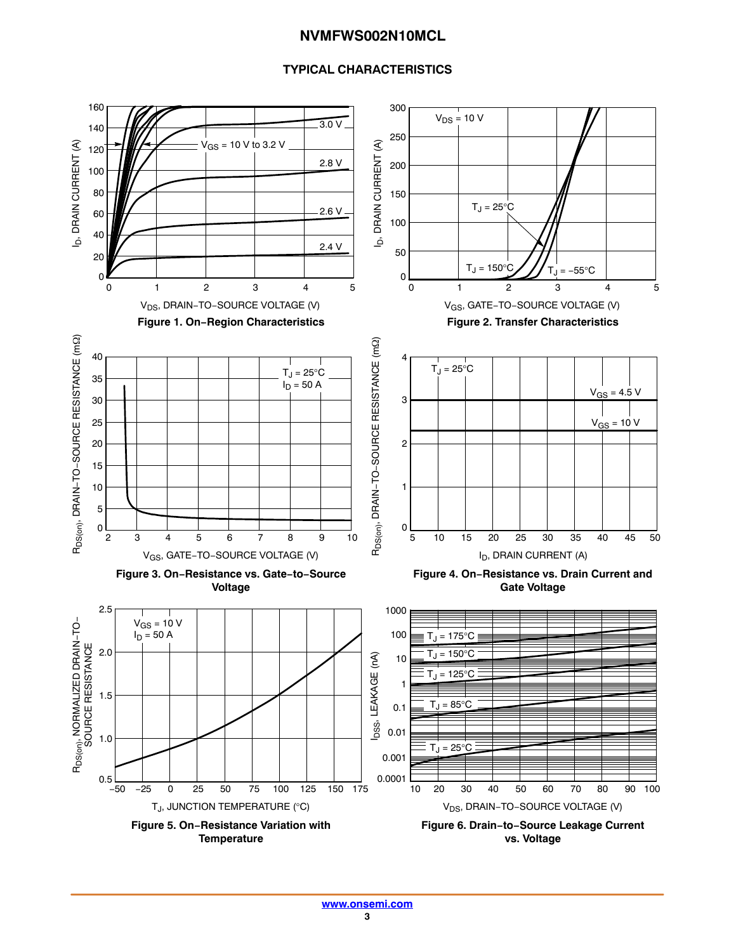#### **TYPICAL CHARACTERISTICS**

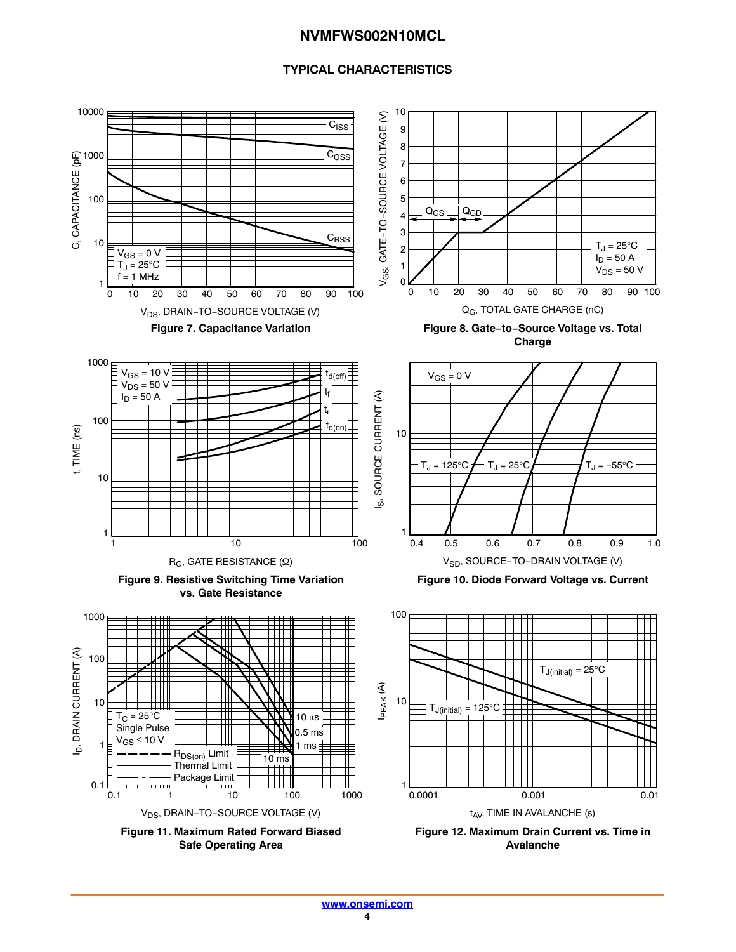#### **TYPICAL CHARACTERISTICS**

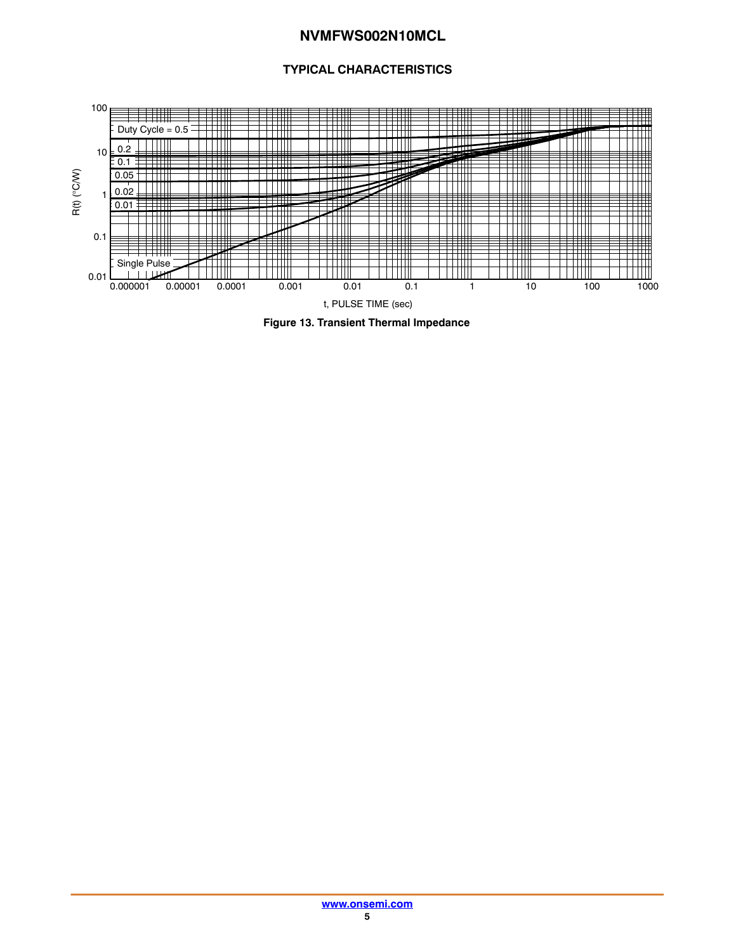#### **TYPICAL CHARACTERISTICS**



**Figure 13. Transient Thermal Impedance**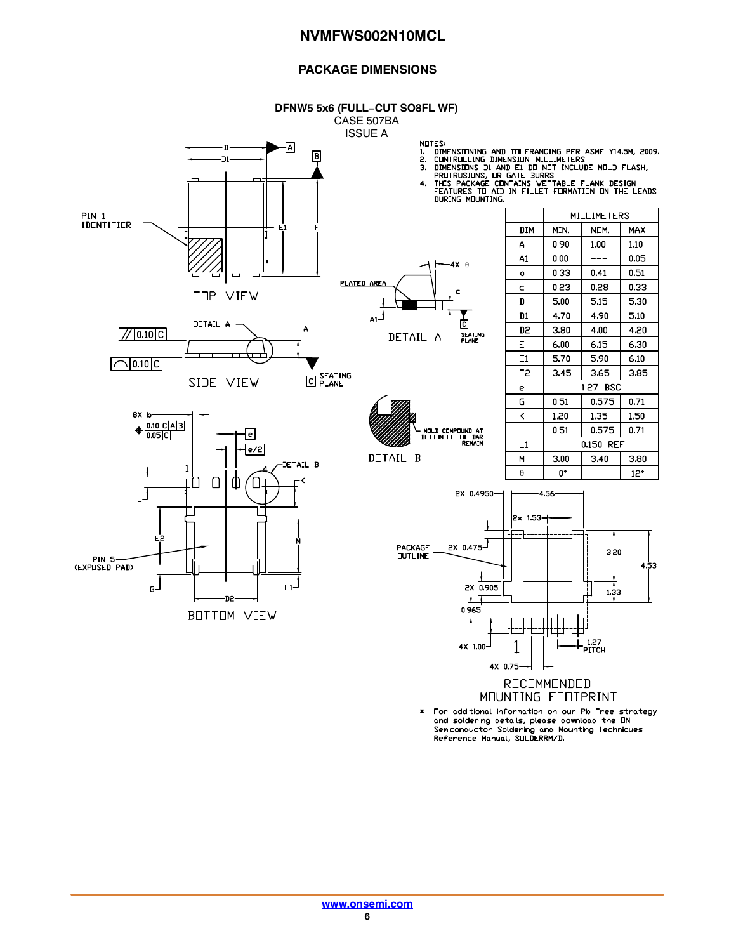#### **PACKAGE DIMENSIONS**